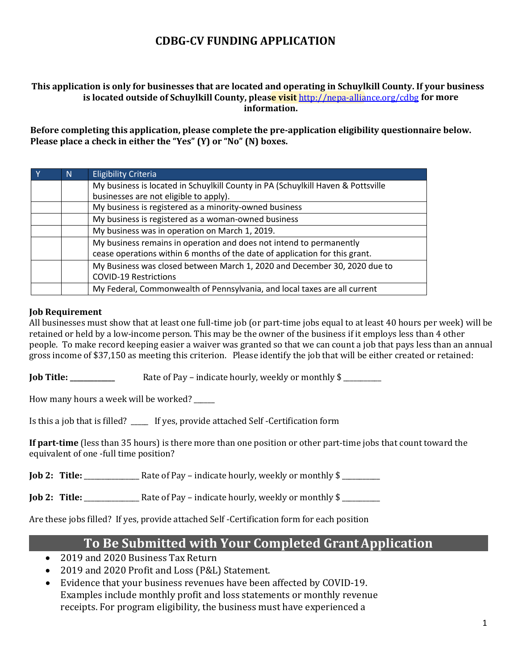### **CDBG-CV FUNDING APPLICATION**

#### **This application is only for businesses that are located and operating in Schuylkill County. If your business is located outside of Schuylkill County, please visit** http://nepa-alliance.org/cdbg **for more information.**

**Before completing this application, please complete the pre-application eligibility questionnaire below. Please place a check in either the "Yes" (Y) or "No" (N) boxes.** 

| N                                              | <b>Eligibility Criteria</b>                                                                                                                        |  |  |  |
|------------------------------------------------|----------------------------------------------------------------------------------------------------------------------------------------------------|--|--|--|
|                                                | My business is located in Schuylkill County in PA (Schuylkill Haven & Pottsville<br>businesses are not eligible to apply).                         |  |  |  |
|                                                | My business is registered as a minority-owned business                                                                                             |  |  |  |
|                                                | My business is registered as a woman-owned business                                                                                                |  |  |  |
| My business was in operation on March 1, 2019. |                                                                                                                                                    |  |  |  |
|                                                | My business remains in operation and does not intend to permanently<br>cease operations within 6 months of the date of application for this grant. |  |  |  |
|                                                | My Business was closed between March 1, 2020 and December 30, 2020 due to<br><b>COVID-19 Restrictions</b>                                          |  |  |  |
|                                                | My Federal, Commonwealth of Pennsylvania, and local taxes are all current                                                                          |  |  |  |

#### **Job Requirement**

All businesses must show that at least one full-time job (or part-time jobs equal to at least 40 hours per week) will be retained or held by a low-income person. This may be the owner of the business if it employs less than 4 other people. To make record keeping easier a waiver was granted so that we can count a job that pays less than an annual gross income of \$37,150 as meeting this criterion. Please identify the job that will be either created or retained:

**Job Title: \_\_\_\_\_\_\_\_\_\_\_\_\_** Rate of Pay – indicate hourly, weekly or monthly \$ \_\_\_\_\_\_\_\_\_\_\_

How many hours a week will be worked?

Is this a job that is filled? \_\_\_\_\_ If yes, provide attached Self -Certification form

**If part-time** (less than 35 hours) is there more than one position or other part-time jobs that count toward the equivalent of one -full time position?

**Job 2: Title:** Rate of Pay – indicate hourly, weekly or monthly \$

**Job 2: Title:** \_\_\_\_\_\_\_\_\_\_\_\_\_\_\_\_ Rate of Pay – indicate hourly, weekly or monthly \$ \_\_\_\_\_\_\_\_\_\_\_

Are these jobs filled? If yes, provide attached Self -Certification form for each position

### **To Be Submitted with Your Completed GrantApplication**

- 2019 and 2020 Business Tax Return
- 2019 and 2020 Profit and Loss (P&L) Statement.
- Evidence that your business revenues have been affected by COVID-19. Examples include monthly profit and loss statements or monthly revenue receipts. For program eligibility, the business must have experienced a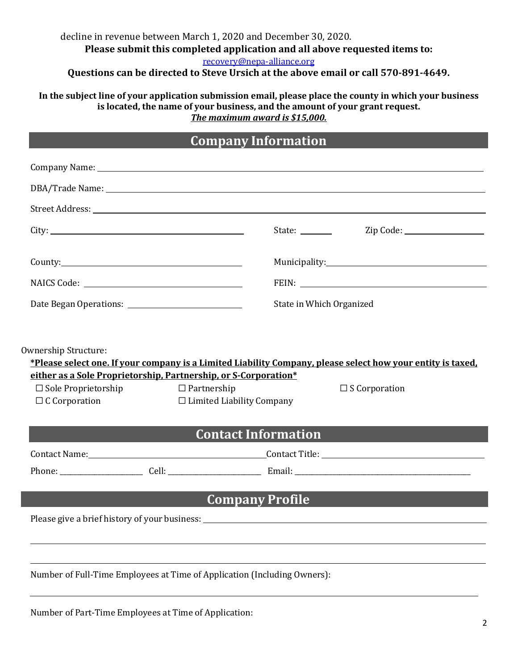### decline in revenue between March 1, 2020 and December 30, 2020. **Please submit this completed application and all above requested items to:** recovery@nepa-alliance.org

**Questions can be directed to Steve Ursich at the above email or call 570-891-4649.**

**In the subject line of your application submission email, please place the county in which your business is located, the name of your business, and the amount of your grant request.**  *The maximum award is \$15,000.*

## **Company Information**

|                         | Company Name: Name and Second Company Name and Second Company Name and Second Company Name and Second Company Name and Second Company of the Second Company of the Second Company of the Second Company of the Second Company |
|-------------------------|-------------------------------------------------------------------------------------------------------------------------------------------------------------------------------------------------------------------------------|
|                         |                                                                                                                                                                                                                               |
|                         |                                                                                                                                                                                                                               |
|                         | State: _________                                                                                                                                                                                                              |
|                         |                                                                                                                                                                                                                               |
|                         |                                                                                                                                                                                                                               |
| NAICS Code: NAICS Code: |                                                                                                                                                                                                                               |
|                         | State in Which Organized                                                                                                                                                                                                      |
|                         |                                                                                                                                                                                                                               |
|                         |                                                                                                                                                                                                                               |
| Ownership Structure:    |                                                                                                                                                                                                                               |
|                         | *Please select one. If your company is a Limited Liability Company, please select how your entity is taxed,                                                                                                                   |

**either as a Sole Proprietorship, Partnership, or S-Corporation\***

☐ Sole Proprietorship ☐ Partnership ☐ S Corporation  $\Box$  Limited Liability Company

| <b>Contact Information</b> |       |                |  |
|----------------------------|-------|----------------|--|
| Contact Name:              |       | Contact Title: |  |
| Phone:                     | Cell: | Email:         |  |

**Company Profile**

Please give a brief history of your business: <u>experience and a set of the set of the set of the set of the set of</u>

Number of Full-Time Employees at Time of Application (Including Owners):

Number of Part-Time Employees at Time of Application: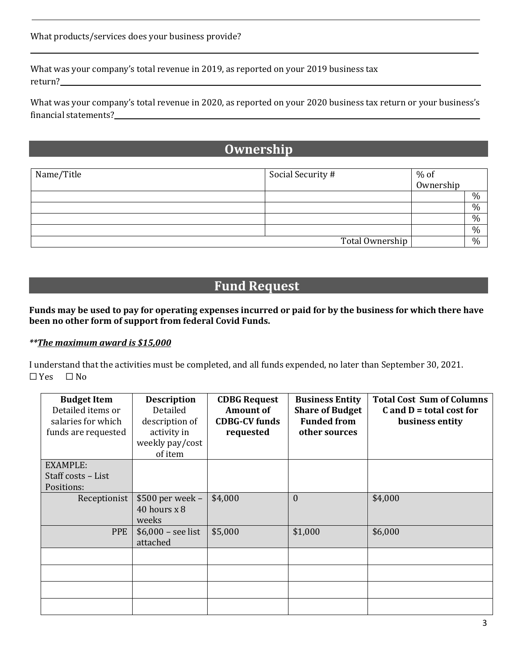What was your company's total revenue in 2019, as reported on your 2019 business tax return?

What was your company's total revenue in 2020, as reported on your 2020 business tax return or your business's financial statements?

## **Ownership**

| Name/Title | Social Security # | % of<br>Ownership |               |
|------------|-------------------|-------------------|---------------|
|            |                   |                   |               |
|            |                   |                   | $\frac{0}{0}$ |
|            |                   |                   | $\%$          |
|            |                   |                   | $\%$          |
|            |                   |                   | $\%$          |
|            | Total Ownership   |                   | $\frac{0}{0}$ |

# **Fund Request**

#### **Funds may be used to pay for operating expenses incurred or paid for by the business for which there have been no other form of support from federal Covid Funds.**

#### *\*\*The maximum award is \$15,000*

I understand that the activities must be completed, and all funds expended, no later than September 30, 2021.<br> $\Box$  Yes  $\Box$  No  $\square$  Yes

| <b>Budget Item</b><br>Detailed items or<br>salaries for which<br>funds are requested | <b>Description</b><br>Detailed<br>description of<br>activity in<br>weekly pay/cost<br>of item | <b>CDBG Request</b><br><b>Amount of</b><br><b>CDBG-CV funds</b><br>requested | <b>Business Entity</b><br><b>Share of Budget</b><br><b>Funded from</b><br>other sources | <b>Total Cost Sum of Columns</b><br>$C$ and $D =$ total cost for<br>business entity |
|--------------------------------------------------------------------------------------|-----------------------------------------------------------------------------------------------|------------------------------------------------------------------------------|-----------------------------------------------------------------------------------------|-------------------------------------------------------------------------------------|
| <b>EXAMPLE:</b>                                                                      |                                                                                               |                                                                              |                                                                                         |                                                                                     |
| Staff costs - List                                                                   |                                                                                               |                                                                              |                                                                                         |                                                                                     |
| Positions:                                                                           |                                                                                               |                                                                              |                                                                                         |                                                                                     |
| Receptionist                                                                         | $$500$ per week -                                                                             | \$4,000                                                                      | $\boldsymbol{0}$                                                                        | \$4,000                                                                             |
|                                                                                      | 40 hours $x$ 8                                                                                |                                                                              |                                                                                         |                                                                                     |
|                                                                                      | weeks                                                                                         |                                                                              |                                                                                         |                                                                                     |
| <b>PPE</b>                                                                           | $$6,000 - see$ list                                                                           | \$5,000                                                                      | \$1,000                                                                                 | \$6,000                                                                             |
|                                                                                      | attached                                                                                      |                                                                              |                                                                                         |                                                                                     |
|                                                                                      |                                                                                               |                                                                              |                                                                                         |                                                                                     |
|                                                                                      |                                                                                               |                                                                              |                                                                                         |                                                                                     |
|                                                                                      |                                                                                               |                                                                              |                                                                                         |                                                                                     |
|                                                                                      |                                                                                               |                                                                              |                                                                                         |                                                                                     |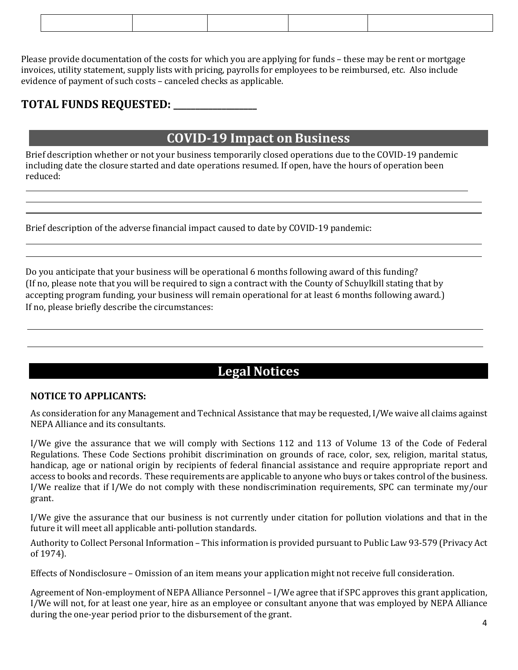Please provide documentation of the costs for which you are applying for funds – these may be rent or mortgage invoices, utility statement, supply lists with pricing, payrolls for employees to be reimbursed, etc. Also include evidence of payment of such costs – canceled checks as applicable.

### **TOTAL FUNDS REQUESTED: \_\_\_\_\_\_\_\_\_\_\_\_\_\_\_\_\_\_\_**

### **COVID-19 Impact on Business**

Brief description whether or not your business temporarily closed operations due to the COVID-19 pandemic including date the closure started and date operations resumed. If open, have the hours of operation been reduced:

Brief description of the adverse financial impact caused to date by COVID-19 pandemic:

Do you anticipate that your business will be operational 6 months following award of this funding? (If no, please note that you will be required to sign a contract with the County of Schuylkill stating that by accepting program funding, your business will remain operational for at least 6 months following award.) If no, please briefly describe the circumstances:

# **Legal Notices**

#### **NOTICE TO APPLICANTS:**

As consideration for any Management and Technical Assistance that may be requested, I/We waive all claims against NEPA Alliance and its consultants.

I/We give the assurance that we will comply with Sections 112 and 113 of Volume 13 of the Code of Federal Regulations. These Code Sections prohibit discrimination on grounds of race, color, sex, religion, marital status, handicap, age or national origin by recipients of federal financial assistance and require appropriate report and access to books and records. These requirements are applicable to anyone who buys or takes control ofthe business. I/We realize that if I/We do not comply with these nondiscrimination requirements, SPC can terminate my/our grant.

I/We give the assurance that our business is not currently under citation for pollution violations and that in the future it will meet all applicable anti-pollution standards.

Authority to Collect Personal Information – This information is provided pursuant to Public Law 93-579 (Privacy Act of 1974).

Effects of Nondisclosure – Omission of an item means your application might not receive full consideration.

Agreement of Non-employment of NEPA Alliance Personnel – I/We agree that if SPC approves this grant application, I/We will not, for at least one year, hire as an employee or consultant anyone that was employed by NEPA Alliance during the one-year period prior to the disbursement of the grant.